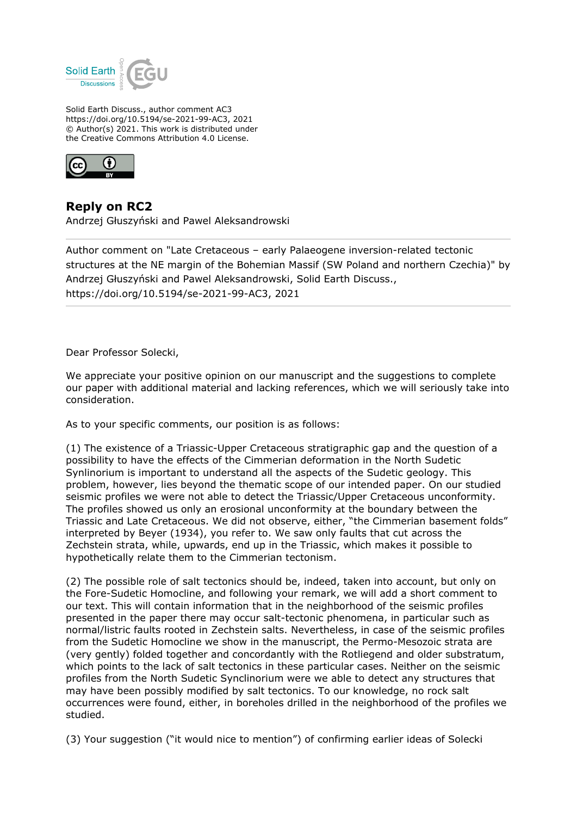

Solid Earth Discuss., author comment AC3 https://doi.org/10.5194/se-2021-99-AC3, 2021 © Author(s) 2021. This work is distributed under the Creative Commons Attribution 4.0 License.



## **Reply on RC2**

Andrzej Głuszyński and Pawel Aleksandrowski

Author comment on "Late Cretaceous – early Palaeogene inversion-related tectonic structures at the NE margin of the Bohemian Massif (SW Poland and northern Czechia)" by Andrzej Głuszyński and Pawel Aleksandrowski, Solid Earth Discuss., https://doi.org/10.5194/se-2021-99-AC3, 2021

Dear Professor Solecki,

We appreciate your positive opinion on our manuscript and the suggestions to complete our paper with additional material and lacking references, which we will seriously take into consideration.

As to your specific comments, our position is as follows:

(1) The existence of a Triassic-Upper Cretaceous stratigraphic gap and the question of a possibility to have the effects of the Cimmerian deformation in the North Sudetic Synlinorium is important to understand all the aspects of the Sudetic geology. This problem, however, lies beyond the thematic scope of our intended paper. On our studied seismic profiles we were not able to detect the Triassic/Upper Cretaceous unconformity. The profiles showed us only an erosional unconformity at the boundary between the Triassic and Late Cretaceous. We did not observe, either, "the Cimmerian basement folds" interpreted by Beyer (1934), you refer to. We saw only faults that cut across the Zechstein strata, while, upwards, end up in the Triassic, which makes it possible to hypothetically relate them to the Cimmerian tectonism.

(2) The possible role of salt tectonics should be, indeed, taken into account, but only on the Fore-Sudetic Homocline, and following your remark, we will add a short comment to our text. This will contain information that in the neighborhood of the seismic profiles presented in the paper there may occur salt-tectonic phenomena, in particular such as normal/listric faults rooted in Zechstein salts. Nevertheless, in case of the seismic profiles from the Sudetic Homocline we show in the manuscript, the Permo-Mesozoic strata are (very gently) folded together and concordantly with the Rotliegend and older substratum, which points to the lack of salt tectonics in these particular cases. Neither on the seismic profiles from the North Sudetic Synclinorium were we able to detect any structures that may have been possibly modified by salt tectonics. To our knowledge, no rock salt occurrences were found, either, in boreholes drilled in the neighborhood of the profiles we studied.

(3) Your suggestion ("it would nice to mention") of confirming earlier ideas of Solecki